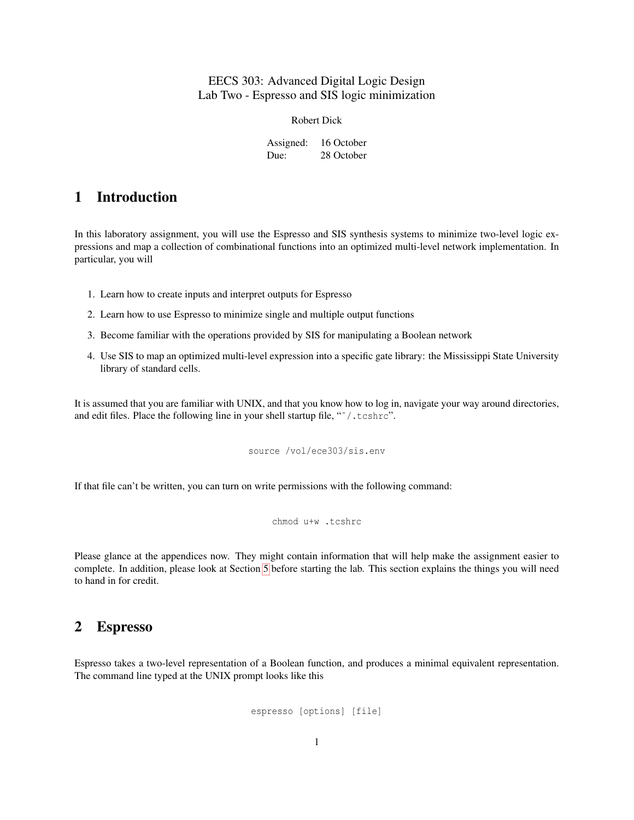### EECS 303: Advanced Digital Logic Design Lab Two - Espresso and SIS logic minimization

Robert Dick

Assigned: 16 October Due: 28 October

### 1 Introduction

In this laboratory assignment, you will use the Espresso and SIS synthesis systems to minimize two-level logic expressions and map a collection of combinational functions into an optimized multi-level network implementation. In particular, you will

- 1. Learn how to create inputs and interpret outputs for Espresso
- 2. Learn how to use Espresso to minimize single and multiple output functions
- 3. Become familiar with the operations provided by SIS for manipulating a Boolean network
- 4. Use SIS to map an optimized multi-level expression into a specific gate library: the Mississippi State University library of standard cells.

It is assumed that you are familiar with UNIX, and that you know how to log in, navigate your way around directories, and edit files. Place the following line in your shell startup file, "˜/.tcshrc".

source /vol/ece303/sis.env

If that file can't be written, you can turn on write permissions with the following command:

chmod u+w .tcshrc

Please glance at the appendices now. They might contain information that will help make the assignment easier to complete. In addition, please look at Section [5](#page-10-0) before starting the lab. This section explains the things you will need to hand in for credit.

### <span id="page-0-0"></span>2 Espresso

Espresso takes a two-level representation of a Boolean function, and produces a minimal equivalent representation. The command line typed at the UNIX prompt looks like this

espresso [options] [file]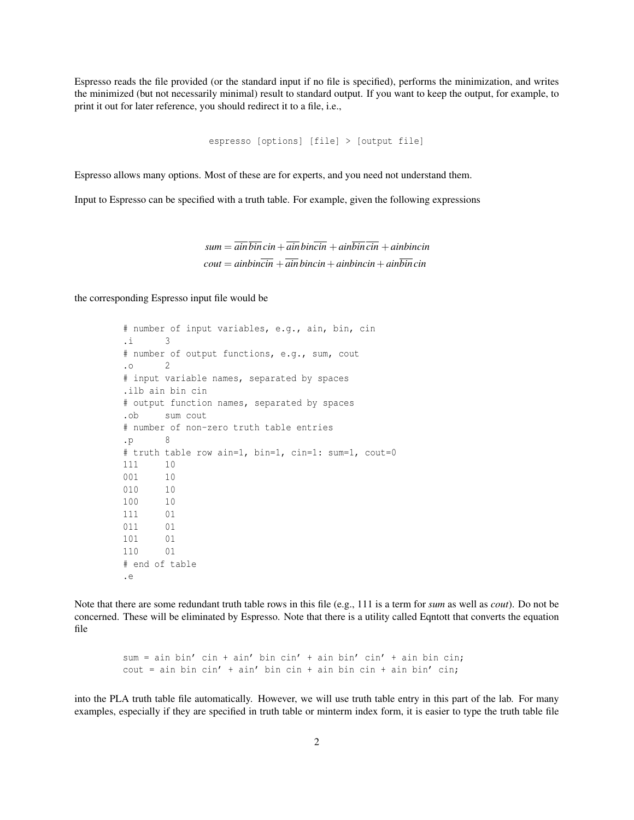Espresso reads the file provided (or the standard input if no file is specified), performs the minimization, and writes the minimized (but not necessarily minimal) result to standard output. If you want to keep the output, for example, to print it out for later reference, you should redirect it to a file, i.e.,

```
espresso [options] [file] > [output file]
```
Espresso allows many options. Most of these are for experts, and you need not understand them.

Input to Espresso can be specified with a truth table. For example, given the following expressions

 $sum = \overline{a}$  *ain*  $\overline{b}$ *in*  $\overline{c}$ *in* +  $\overline{a}$ *in*  $\overline{b}$ *in*  $\overline{c}$ *in*  $\overline{c}$ *in* +  $\overline{a}$ *inbincin*  $\dot{c}$ *cout* =  $\dot{a}$ *inbincin* +  $\overline{a}$ *inbincin* +  $\dot{a}$ *inbincin* +  $\dot{a}$ *inbincin* 

the corresponding Espresso input file would be

```
# number of input variables, e.g., ain, bin, cin
.i 3
# number of output functions, e.g., sum, cout
.o 2
# input variable names, separated by spaces
.ilb ain bin cin
# output function names, separated by spaces
.ob sum cout
# number of non-zero truth table entries
\cdot p 8
# truth table row ain=1, bin=1, cin=1: sum=1, cout=0
111 10
001 10
010 10
100 10
111 01
011 01
101 01
110 01
# end of table
.e
```
Note that there are some redundant truth table rows in this file (e.g., 111 is a term for *sum* as well as *cout*). Do not be concerned. These will be eliminated by Espresso. Note that there is a utility called Eqntott that converts the equation file

> sum = ain bin' cin + ain' bin cin' + ain bin' cin' + ain bin cin;  $\text{cout}$  = ain bin  $\text{cin'}$  + ain' bin  $\text{cin}$  + ain bin cin + ain bin'  $\text{cin}$ ;

into the PLA truth table file automatically. However, we will use truth table entry in this part of the lab. For many examples, especially if they are specified in truth table or minterm index form, it is easier to type the truth table file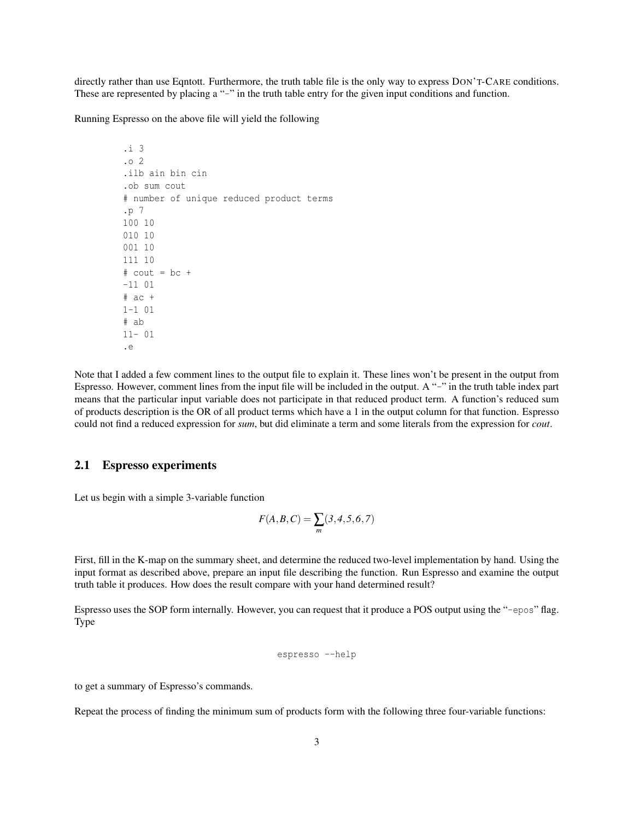directly rather than use Eqntott. Furthermore, the truth table file is the only way to express DON'T-CARE conditions. These are represented by placing a "-" in the truth table entry for the given input conditions and function.

Running Espresso on the above file will yield the following

.i 3 .o 2 .ilb ain bin cin .ob sum cout # number of unique reduced product terms .p 7 100 10 010 10 001 10 111 10  $# \text{ cout} = bc +$ -11 01  $#$  ac  $+$ 1-1 01 # ab 11- 01 .e

Note that I added a few comment lines to the output file to explain it. These lines won't be present in the output from Espresso. However, comment lines from the input file will be included in the output. A "-" in the truth table index part means that the particular input variable does not participate in that reduced product term. A function's reduced sum of products description is the OR of all product terms which have a 1 in the output column for that function. Espresso could not find a reduced expression for *sum*, but did eliminate a term and some literals from the expression for *cout*.

### 2.1 Espresso experiments

Let us begin with a simple 3-variable function

$$
F(A, B, C) = \sum_{m} (3, 4, 5, 6, 7)
$$

First, fill in the K-map on the summary sheet, and determine the reduced two-level implementation by hand. Using the input format as described above, prepare an input file describing the function. Run Espresso and examine the output truth table it produces. How does the result compare with your hand determined result?

Espresso uses the SOP form internally. However, you can request that it produce a POS output using the "-epos" flag. Type

espresso --help

to get a summary of Espresso's commands.

Repeat the process of finding the minimum sum of products form with the following three four-variable functions: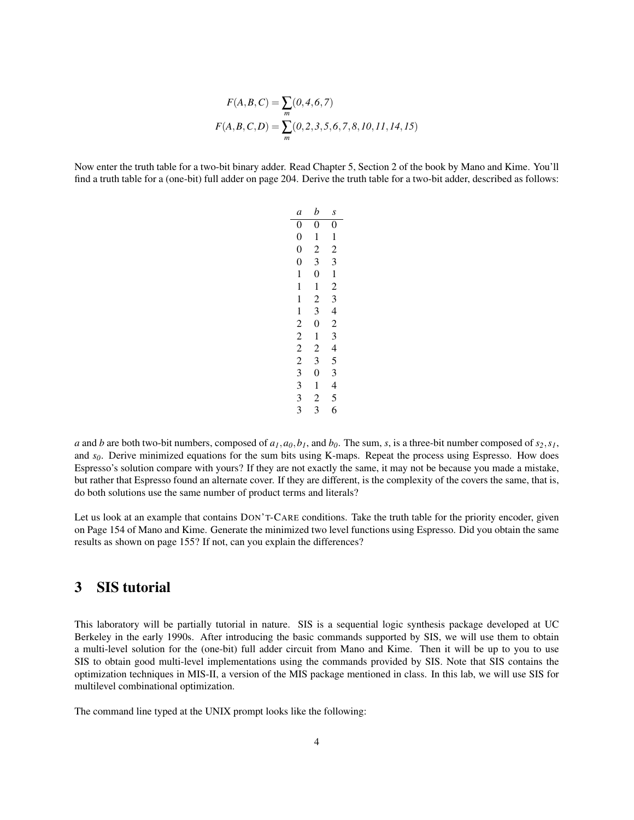$$
F(A, B, C) = \sum_{m} (0, 4, 6, 7)
$$

$$
F(A, B, C, D) = \sum_{m} (0, 2, 3, 5, 6, 7, 8, 10, 11, 14, 15)
$$

Now enter the truth table for a two-bit binary adder. Read Chapter 5, Section 2 of the book by Mano and Kime. You'll find a truth table for a (one-bit) full adder on page 204. Derive the truth table for a two-bit adder, described as follows:

| a                                | b              | S                             |  |
|----------------------------------|----------------|-------------------------------|--|
| $\overline{0}$                   | $\overline{0}$ | $\overline{0}$                |  |
| $\overline{0}$                   | 1              | $\mathbf{1}$                  |  |
| $\boldsymbol{0}$                 | $\overline{c}$ | $\overline{c}$                |  |
| $\overline{0}$                   | 3              | 3                             |  |
| 1                                | $\overline{0}$ | 1                             |  |
| $\mathbf{1}$                     | 1              | $\overline{c}$                |  |
| 1                                | $\overline{c}$ | 3                             |  |
| $\mathbf{1}$                     | 3              | 4                             |  |
| $\overline{c}$                   | $\overline{0}$ | $\overline{c}$                |  |
| $\overline{c}$<br>$\overline{c}$ | 1              | 3<br>$\overline{\mathcal{L}}$ |  |
|                                  | $\overline{c}$ |                               |  |
| $\overline{c}$                   | 3              | 5                             |  |
| 3                                | $\overline{0}$ | 3                             |  |
| 3                                | $\mathbf{1}$   | 4                             |  |
| 3                                | $\overline{c}$ | 5                             |  |
| 3                                | 3              | 6                             |  |

*a* and *b* are both two-bit numbers, composed of  $a_1$ ,  $a_0$ ,  $b_1$ , and  $b_0$ . The sum, *s*, is a three-bit number composed of  $s_2$ ,  $s_1$ , and *s0*. Derive minimized equations for the sum bits using K-maps. Repeat the process using Espresso. How does Espresso's solution compare with yours? If they are not exactly the same, it may not be because you made a mistake, but rather that Espresso found an alternate cover. If they are different, is the complexity of the covers the same, that is, do both solutions use the same number of product terms and literals?

Let us look at an example that contains DON'T-CARE conditions. Take the truth table for the priority encoder, given on Page 154 of Mano and Kime. Generate the minimized two level functions using Espresso. Did you obtain the same results as shown on page 155? If not, can you explain the differences?

### 3 SIS tutorial

This laboratory will be partially tutorial in nature. SIS is a sequential logic synthesis package developed at UC Berkeley in the early 1990s. After introducing the basic commands supported by SIS, we will use them to obtain a multi-level solution for the (one-bit) full adder circuit from Mano and Kime. Then it will be up to you to use SIS to obtain good multi-level implementations using the commands provided by SIS. Note that SIS contains the optimization techniques in MIS-II, a version of the MIS package mentioned in class. In this lab, we will use SIS for multilevel combinational optimization.

The command line typed at the UNIX prompt looks like the following: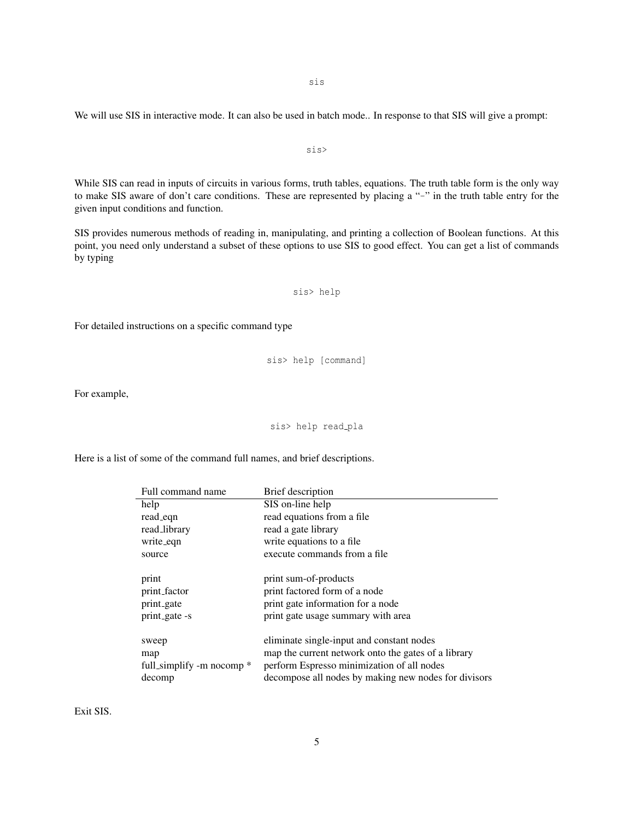sis

We will use SIS in interactive mode. It can also be used in batch mode.. In response to that SIS will give a prompt:

While SIS can read in inputs of circuits in various forms, truth tables, equations. The truth table form is the only way to make SIS aware of don't care conditions. These are represented by placing a "-" in the truth table entry for the given input conditions and function.

sis>

SIS provides numerous methods of reading in, manipulating, and printing a collection of Boolean functions. At this point, you need only understand a subset of these options to use SIS to good effect. You can get a list of commands by typing

sis> help

For detailed instructions on a specific command type

sis> help [command]

For example,

sis> help read\_pla

Here is a list of some of the command full names, and brief descriptions.

| Full command name                                     | <b>Brief</b> description                                                                                                                                                                               |
|-------------------------------------------------------|--------------------------------------------------------------------------------------------------------------------------------------------------------------------------------------------------------|
| help                                                  | SIS on-line help                                                                                                                                                                                       |
| read_eqn                                              | read equations from a file                                                                                                                                                                             |
| read_library                                          | read a gate library                                                                                                                                                                                    |
| write_eqn                                             | write equations to a file.                                                                                                                                                                             |
| source                                                | execute commands from a file                                                                                                                                                                           |
| print<br>print_factor<br>print_gate<br>print_gate -s  | print sum-of-products<br>print factored form of a node<br>print gate information for a node<br>print gate usage summary with area                                                                      |
| sweep<br>map<br>full_simplify -m nocomp $*$<br>decomp | eliminate single-input and constant nodes<br>map the current network onto the gates of a library<br>perform Espresso minimization of all nodes<br>decompose all nodes by making new nodes for divisors |

Exit SIS.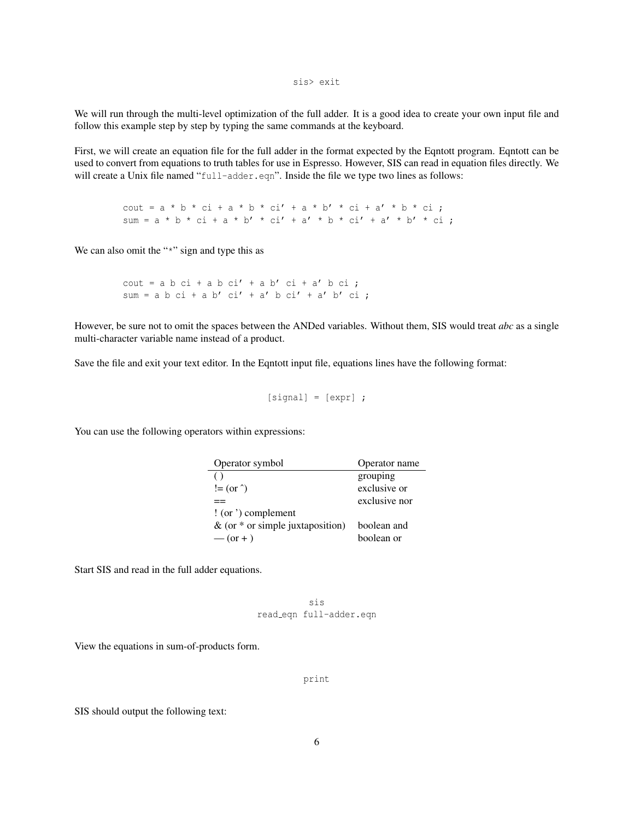sis> exit

We will run through the multi-level optimization of the full adder. It is a good idea to create your own input file and follow this example step by step by typing the same commands at the keyboard.

First, we will create an equation file for the full adder in the format expected by the Eqntott program. Eqntott can be used to convert from equations to truth tables for use in Espresso. However, SIS can read in equation files directly. We will create a Unix file named "full-adder.eqn". Inside the file we type two lines as follows:

> cout =  $a * b * ci + a * b * ci' + a * b' * ci + a' * b * ci;$ sum =  $a * b * ci + a * b' * ci' + a' * b * ci' + a' * b' * ci;$

We can also omit the "\*" sign and type this as

 $\text{cout} = \text{a} \cdot \text{b} \cdot \text{c} \text{i} + \text{a} \cdot \text{b} \cdot \text{c} \text{i} + \text{a} \cdot \text{c} \text{i} + \text{a} \cdot \text{c} \text{i}$ ; sum = a b ci + a b' ci' + a' b ci' + a' b' ci ;

However, be sure not to omit the spaces between the ANDed variables. Without them, SIS would treat *abc* as a single multi-character variable name instead of a product.

Save the file and exit your text editor. In the Eqntott input file, equations lines have the following format:

```
[signal] = [expr];
```
You can use the following operators within expressions:

| Operator symbol                    | Operator name |  |
|------------------------------------|---------------|--|
| (                                  | grouping      |  |
| $!=$ (or $\hat{ }$ )               | exclusive or  |  |
|                                    | exclusive nor |  |
| $\frac{1}{2}$ (or ') complement    |               |  |
| & (or $*$ or simple juxtaposition) | boolean and   |  |
| $-$ (or + )                        | boolean or    |  |

Start SIS and read in the full adder equations.

sis read eqn full-adder.eqn

View the equations in sum-of-products form.

print

SIS should output the following text: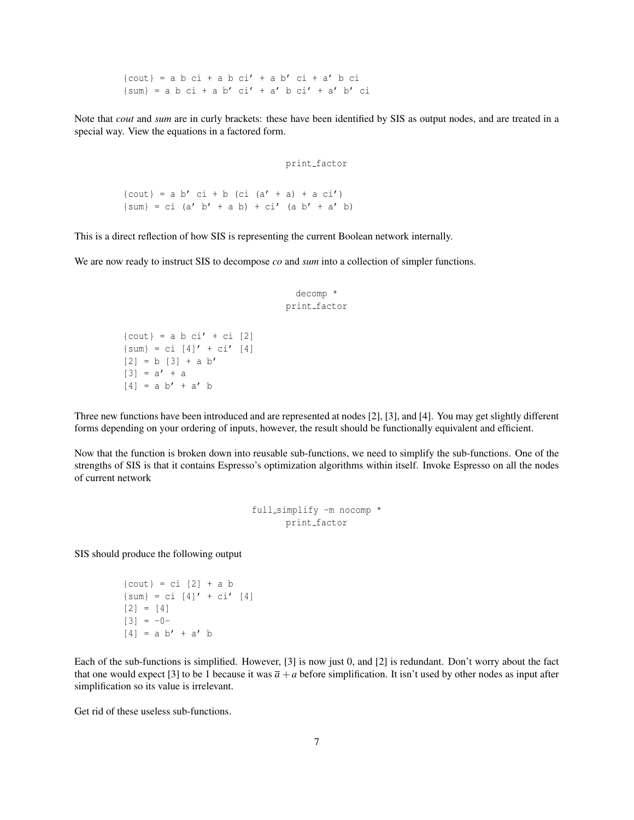${cout}$  = a b ci + a b ci' + a b' ci + a' b ci  $\{\text{sum}\} = a b c i + a b' c i' + a' b c i' + a' b' c i$ 

Note that *cout* and *sum* are in curly brackets: these have been identified by SIS as output nodes, and are treated in a special way. View the equations in a factored form.

print factor

 ${cout}$  = a b' ci + b (ci (a' + a) + a ci')  $\{sum\} = ci$  (a' b' + a b) + ci' (a b' + a' b)

This is a direct reflection of how SIS is representing the current Boolean network internally.

We are now ready to instruct SIS to decompose *co* and *sum* into a collection of simpler functions.

```
decomp *
print factor
```
 $\{ \text{cout} \} = a b c i' + c i [2]$  $\{sum\} = ci [4]' + ci' [4]$  $[2] = b [3] + a b'$  $[3] = a' + a$  $[4] = a b' + a' b$ 

Three new functions have been introduced and are represented at nodes [2], [3], and [4]. You may get slightly different forms depending on your ordering of inputs, however, the result should be functionally equivalent and efficient.

Now that the function is broken down into reusable sub-functions, we need to simplify the sub-functions. One of the strengths of SIS is that it contains Espresso's optimization algorithms within itself. Invoke Espresso on all the nodes of current network

```
full simplify -m nocomp *
      print factor
```
SIS should produce the following output

```
\{ \text{cout} \} = \text{ci} \quad [2] + \text{a b}{sum} = ci [4]' + ci' [4][2] = [4][3] = -0-[4] = a b' + a' b
```
Each of the sub-functions is simplified. However, [3] is now just 0, and [2] is redundant. Don't worry about the fact that one would expect [3] to be 1 because it was  $\bar{a} + a$  before simplification. It isn't used by other nodes as input after simplification so its value is irrelevant.

Get rid of these useless sub-functions.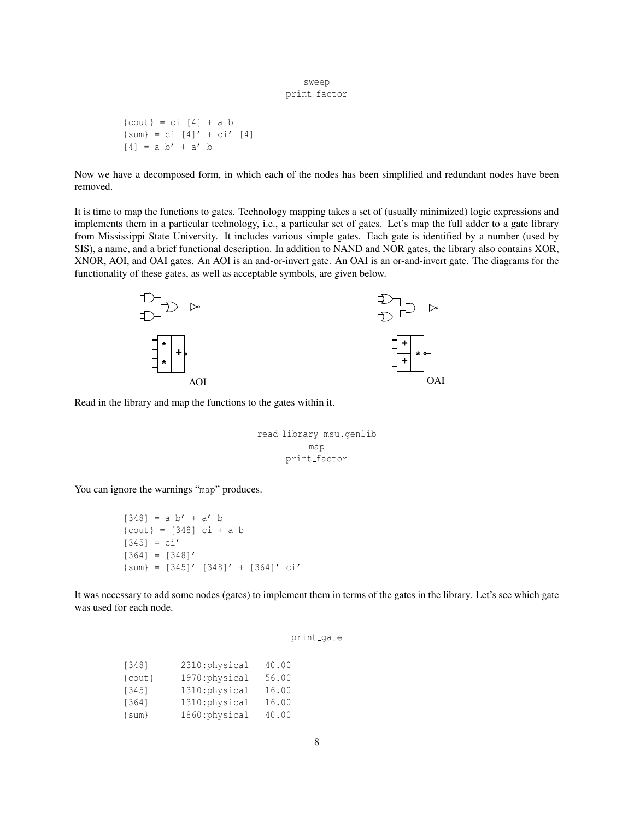#### sweep print\_factor

 $\{ \text{cout} \} = \text{ci} \ [4] + \text{a} \ b$  ${sum} = ci [4]' + ci' [4]$  $[4] = a b' + a' b$ 

Now we have a decomposed form, in which each of the nodes has been simplified and redundant nodes have been removed.

It is time to map the functions to gates. Technology mapping takes a set of (usually minimized) logic expressions and implements them in a particular technology, i.e., a particular set of gates. Let's map the full adder to a gate library from Mississippi State University. It includes various simple gates. Each gate is identified by a number (used by SIS), a name, and a brief functional description. In addition to NAND and NOR gates, the library also contains XOR, XNOR, AOI, and OAI gates. An AOI is an and-or-invert gate. An OAI is an or-and-invert gate. The diagrams for the functionality of these gates, as well as acceptable symbols, are given below.



Read in the library and map the functions to the gates within it.

```
read library msu.genlib
         map
     print factor
```
You can ignore the warnings "map" produces.

 $[348]$ 

```
[348] = a b' + a' b{cout} = [348] ci + a b
[345] = ci'[364] = [348]'\{\text{sum}\} = [345]' [348]' + [364]' ci'
```
It was necessary to add some nodes (gates) to implement them in terms of the gates in the library. Let's see which gate was used for each node.

| $2310:$ physical | 40.00 |  |
|------------------|-------|--|
| 1970:physical    | 56.00 |  |
| $1310$ chysical  | 16.00 |  |

| $\{ \text{cout} \}$ | 1970:physical  | 56.00 |
|---------------------|----------------|-------|
| [345]               | 1310: physical | 16.00 |
| [364]               | 1310: physical | 16.00 |
| $\{sum\}$           | 1860:physical  | 40.00 |
|                     |                |       |

```
print_gate
```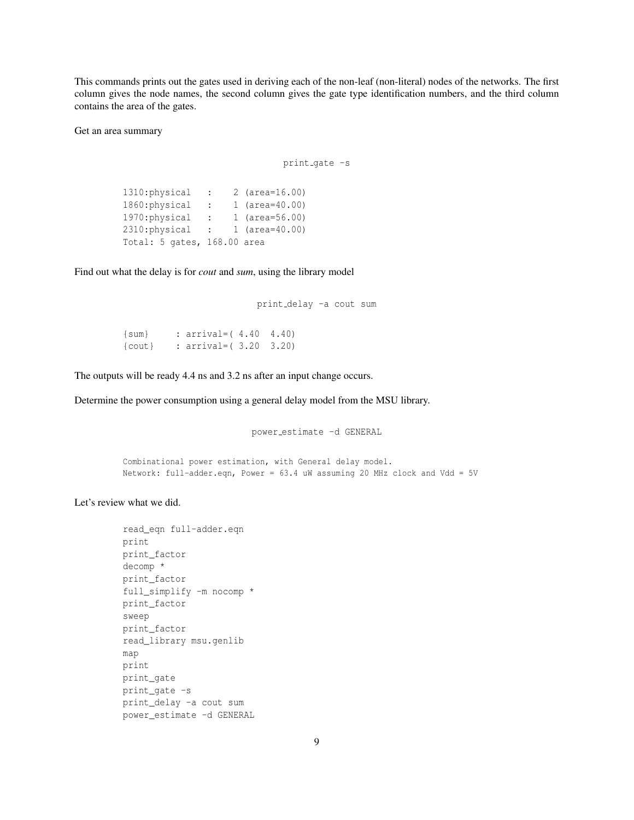This commands prints out the gates used in deriving each of the non-leaf (non-literal) nodes of the networks. The first column gives the node names, the second column gives the gate type identification numbers, and the third column contains the area of the gates.

Get an area summary

print\_gate -s

1310:physical : 2 (area=16.00) 1860:physical : 1 (area=40.00) 1970:physical : 1 (area=56.00) 2310:physical : 1 (area=40.00) Total: 5 gates, 168.00 area

Find out what the delay is for *cout* and *sum*, using the library model

```
print delay -a cout sum
```
{sum} : arrival=( 4.40 4.40) {cout} : arrival=( 3.20 3.20)

The outputs will be ready 4.4 ns and 3.2 ns after an input change occurs.

Determine the power consumption using a general delay model from the MSU library.

power estimate -d GENERAL

Combinational power estimation, with General delay model. Network: full-adder.eqn, Power = 63.4 uW assuming 20 MHz clock and Vdd = 5V

Let's review what we did.

```
read_eqn full-adder.eqn
print
print_factor
decomp *
print_factor
full_simplify -m nocomp *
print_factor
sweep
print_factor
read_library msu.genlib
map
print
print_gate
print_gate -s
print_delay -a cout sum
power_estimate -d GENERAL
```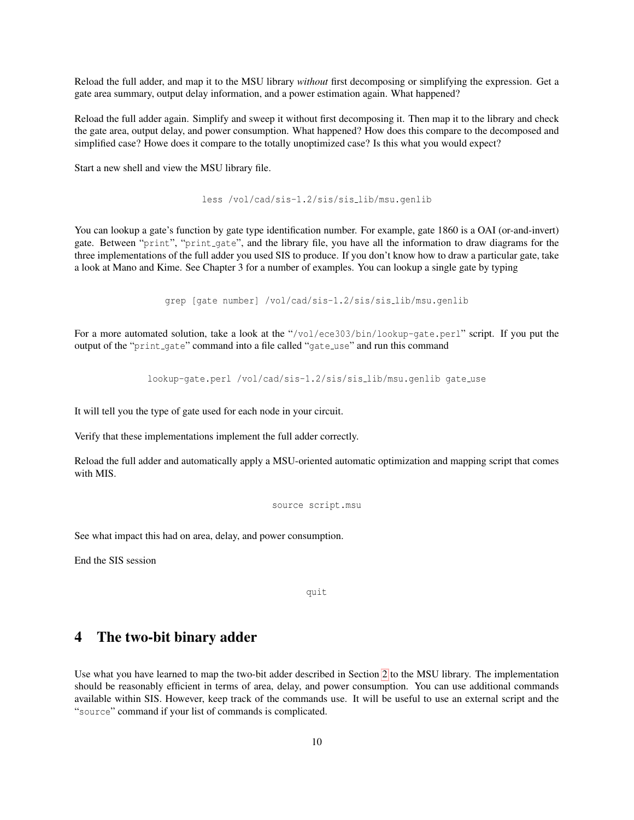Reload the full adder, and map it to the MSU library *without* first decomposing or simplifying the expression. Get a gate area summary, output delay information, and a power estimation again. What happened?

Reload the full adder again. Simplify and sweep it without first decomposing it. Then map it to the library and check the gate area, output delay, and power consumption. What happened? How does this compare to the decomposed and simplified case? Howe does it compare to the totally unoptimized case? Is this what you would expect?

Start a new shell and view the MSU library file.

less /vol/cad/sis-1.2/sis/sis lib/msu.genlib

You can lookup a gate's function by gate type identification number. For example, gate 1860 is a OAI (or-and-invert) gate. Between "print", "print gate", and the library file, you have all the information to draw diagrams for the three implementations of the full adder you used SIS to produce. If you don't know how to draw a particular gate, take a look at Mano and Kime. See Chapter 3 for a number of examples. You can lookup a single gate by typing

grep [gate number] /vol/cad/sis-1.2/sis/sis lib/msu.genlib

For a more automated solution, take a look at the "/vol/ece303/bin/lookup-gate.perl" script. If you put the output of the "print\_gate" command into a file called "gate\_use" and run this command

lookup-gate.perl /vol/cad/sis-1.2/sis/sis lib/msu.genlib gate use

It will tell you the type of gate used for each node in your circuit.

Verify that these implementations implement the full adder correctly.

Reload the full adder and automatically apply a MSU-oriented automatic optimization and mapping script that comes with MIS.

source script.msu

See what impact this had on area, delay, and power consumption.

End the SIS session

quit

### 4 The two-bit binary adder

Use what you have learned to map the two-bit adder described in Section [2](#page-0-0) to the MSU library. The implementation should be reasonably efficient in terms of area, delay, and power consumption. You can use additional commands available within SIS. However, keep track of the commands use. It will be useful to use an external script and the "source" command if your list of commands is complicated.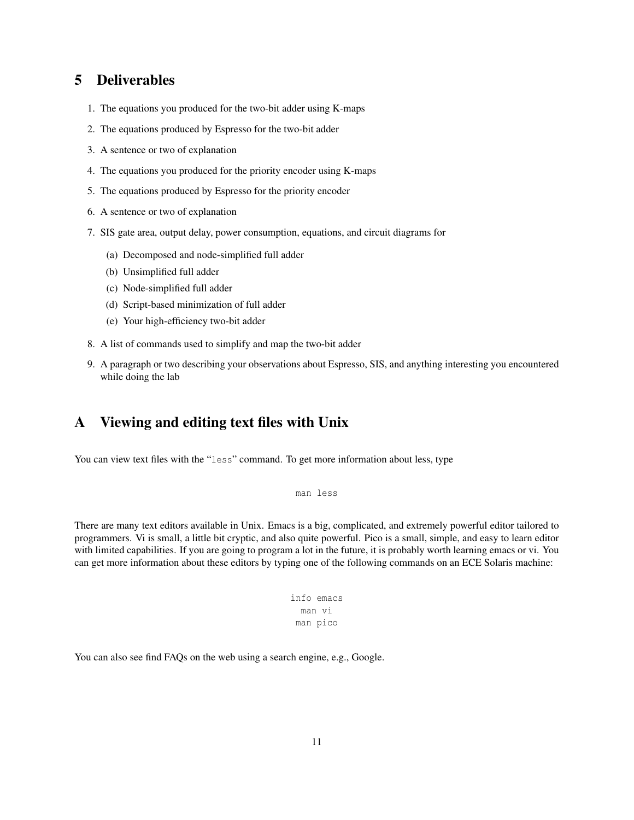### <span id="page-10-0"></span>5 Deliverables

- 1. The equations you produced for the two-bit adder using K-maps
- 2. The equations produced by Espresso for the two-bit adder
- 3. A sentence or two of explanation
- 4. The equations you produced for the priority encoder using K-maps
- 5. The equations produced by Espresso for the priority encoder
- 6. A sentence or two of explanation
- 7. SIS gate area, output delay, power consumption, equations, and circuit diagrams for
	- (a) Decomposed and node-simplified full adder
	- (b) Unsimplified full adder
	- (c) Node-simplified full adder
	- (d) Script-based minimization of full adder
	- (e) Your high-efficiency two-bit adder
- 8. A list of commands used to simplify and map the two-bit adder
- 9. A paragraph or two describing your observations about Espresso, SIS, and anything interesting you encountered while doing the lab

# A Viewing and editing text files with Unix

You can view text files with the "less" command. To get more information about less, type

```
man less
```
There are many text editors available in Unix. Emacs is a big, complicated, and extremely powerful editor tailored to programmers. Vi is small, a little bit cryptic, and also quite powerful. Pico is a small, simple, and easy to learn editor with limited capabilities. If you are going to program a lot in the future, it is probably worth learning emacs or vi. You can get more information about these editors by typing one of the following commands on an ECE Solaris machine:

```
info emacs
 man vi
man pico
```
You can also see find FAQs on the web using a search engine, e.g., Google.